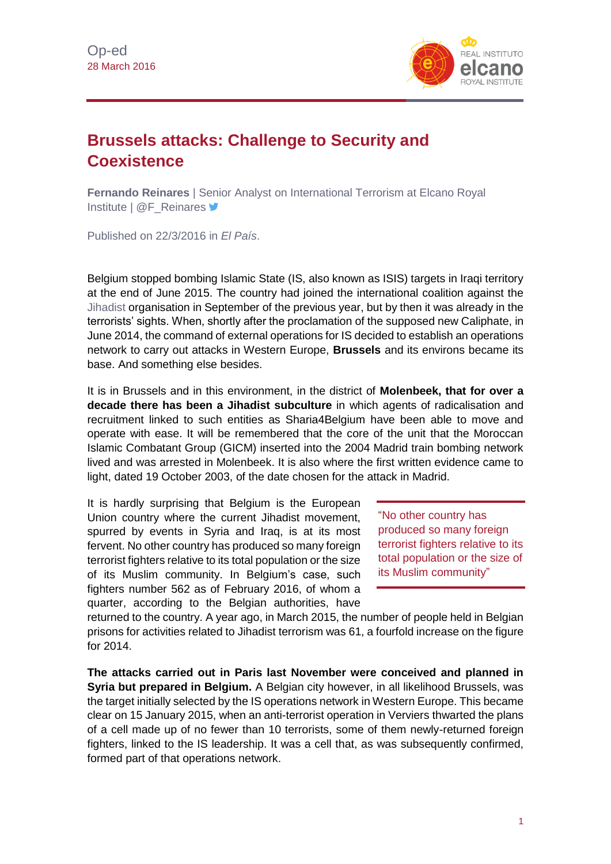

## **Brussels attacks: Challenge to Security and Coexistence**

**Fernando Reinares** | Senior Analyst on International Terrorism at Elcano Royal Institute | @F\_Reinares <del>■</del>

Published on 22/3/2016 in *El País*.

Belgium stopped bombing Islamic State (IS, also known as ISIS) targets in Iraqi territory at the end of June 2015. The country had joined the international coalition against the [Jihadist](http://www.realinstitutoelcano.org/wps/portal/web/rielcano_en/research-topics/international-terrorism/) organisation in September of the previous year, but by then it was already in the terrorists' sights. When, shortly after the proclamation of the supposed new Caliphate, in June 2014, the command of external operations for IS decided to establish an operations network to carry out attacks in Western Europe, **Brussels** and its environs became its base. And something else besides.

It is in Brussels and in this environment, in the district of **Molenbeek, that for over a decade there has been a Jihadist subculture** in which agents of radicalisation and recruitment linked to such entities as Sharia4Belgium have been able to move and operate with ease. It will be remembered that the core of the unit that the Moroccan Islamic Combatant Group (GICM) inserted into the 2004 Madrid train bombing network lived and was arrested in Molenbeek. It is also where the first written evidence came to light, dated 19 October 2003, of the date chosen for the attack in Madrid.

It is hardly surprising that Belgium is the European Union country where the current Jihadist movement, spurred by events in Syria and Iraq, is at its most fervent. No other country has produced so many foreign terrorist fighters relative to its total population or the size of its Muslim community. In Belgium's case, such fighters number 562 as of February 2016, of whom a quarter, according to the Belgian authorities, have

"No other country has produced so many foreign terrorist fighters relative to its total population or the size of its Muslim community"

returned to the country. A year ago, in March 2015, the number of people held in Belgian prisons for activities related to Jihadist terrorism was 61, a fourfold increase on the figure for 2014.

**The attacks carried out in Paris last November were conceived and planned in Syria but prepared in Belgium.** A Belgian city however, in all likelihood Brussels, was the target initially selected by the IS operations network in Western Europe. This became clear on 15 January 2015, when an anti-terrorist operation in Verviers thwarted the plans of a cell made up of no fewer than 10 terrorists, some of them newly-returned foreign fighters, linked to the IS leadership. It was a cell that, as was subsequently confirmed, formed part of that operations network.